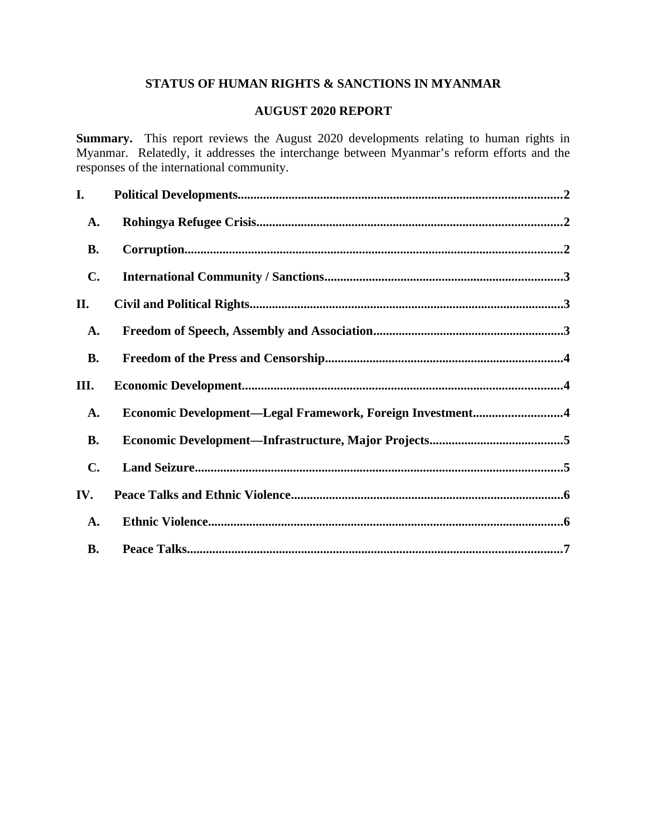# **STATUS OF HUMAN RIGHTS & SANCTIONS IN MYANMAR**

# **AUGUST 2020 REPORT**

**Summary.** This report reviews the August 2020 developments relating to human rights in Myanmar. Relatedly, it addresses the interchange between Myanmar's reform efforts and the responses of the international community.

| I.             |                                                           |  |
|----------------|-----------------------------------------------------------|--|
| A.             |                                                           |  |
| <b>B.</b>      |                                                           |  |
| C.             |                                                           |  |
| II.            |                                                           |  |
| A.             |                                                           |  |
| <b>B.</b>      |                                                           |  |
| III.           |                                                           |  |
| A.             | Economic Development-Legal Framework, Foreign Investment4 |  |
| <b>B.</b>      |                                                           |  |
| $\mathbf{C}$ . |                                                           |  |
| IV.            |                                                           |  |
| <b>A.</b>      |                                                           |  |
| <b>B.</b>      |                                                           |  |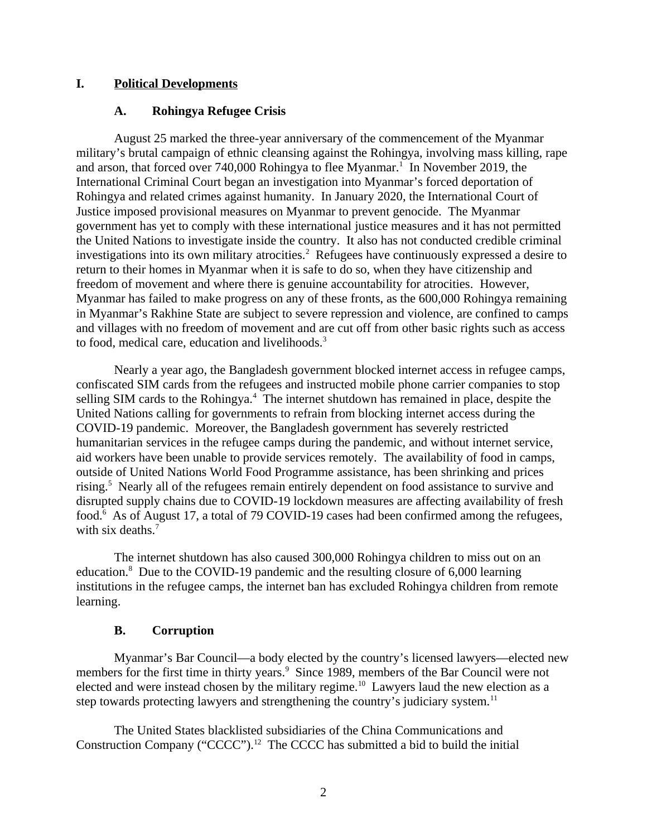#### **I. Political Developments**

#### <span id="page-1-2"></span><span id="page-1-0"></span>**A. Rohingya Refugee Crisis**

August 25 marked the three-year anniversary of the commencement of the Myanmar military's brutal campaign of ethnic cleansing against the Rohingya, involving mass killing, rape and arson, that forced over 740,000 Rohingya to flee Myanmar.<sup>1</sup> In November 2019, the International Criminal Court began an investigation into Myanmar's forced deportation of Rohingya and related crimes against humanity. In January 2020, the International Court of Justice imposed provisional measures on Myanmar to prevent genocide. The Myanmar government has yet to comply with these international justice measures and it has not permitted the United Nations to investigate inside the country. It also has not conducted credible criminal investigations into its own military atrocities.<sup>2</sup> Refugees have continuously expressed a desire to return to their homes in Myanmar when it is safe to do so, when they have citizenship and freedom of movement and where there is genuine accountability for atrocities. However, Myanmar has failed to make progress on any of these fronts, as the 600,000 Rohingya remaining in Myanmar's Rakhine State are subject to severe repression and violence, are confined to camps and villages with no freedom of movement and are cut off from other basic rights such as access to food, medical care, education and livelihoods.<sup>3</sup>

Nearly a year ago, the Bangladesh government blocked internet access in refugee camps, confiscated SIM cards from the refugees and instructed mobile phone carrier companies to stop selling SIM cards to the Rohingya.<sup>4</sup> The internet shutdown has remained in place, despite the United Nations calling for governments to refrain from blocking internet access during the COVID-19 pandemic. Moreover, the Bangladesh government has severely restricted humanitarian services in the refugee camps during the pandemic, and without internet service, aid workers have been unable to provide services remotely. The availability of food in camps, outside of United Nations World Food Programme assistance, has been shrinking and prices rising.<sup>5</sup> Nearly all of the refugees remain entirely dependent on food assistance to survive and disrupted supply chains due to COVID-19 lockdown measures are affecting availability of fresh food.<sup>6</sup> As of August 17, a total of 79 COVID-19 cases had been confirmed among the refugees, with six deaths. $7$ 

The internet shutdown has also caused 300,000 Rohingya children to miss out on an education.<sup>8</sup> Due to the COVID-19 pandemic and the resulting closure of 6,000 learning institutions in the refugee camps, the internet ban has excluded Rohingya children from remote learning.

#### <span id="page-1-1"></span>**B. Corruption**

Myanmar's Bar Council—a body elected by the country's licensed lawyers—elected new members for the first time in thirty years.<sup>9</sup> Since 1989, members of the Bar Council were not elected and were instead chosen by the military regime.<sup>10</sup> Lawyers laud the new election as a step towards protecting lawyers and strengthening the country's judiciary system.<sup>11</sup>

The United States blacklisted subsidiaries of the China Communications and Construction Company ("CCCC").<sup>12</sup> The CCCC has submitted a bid to build the initial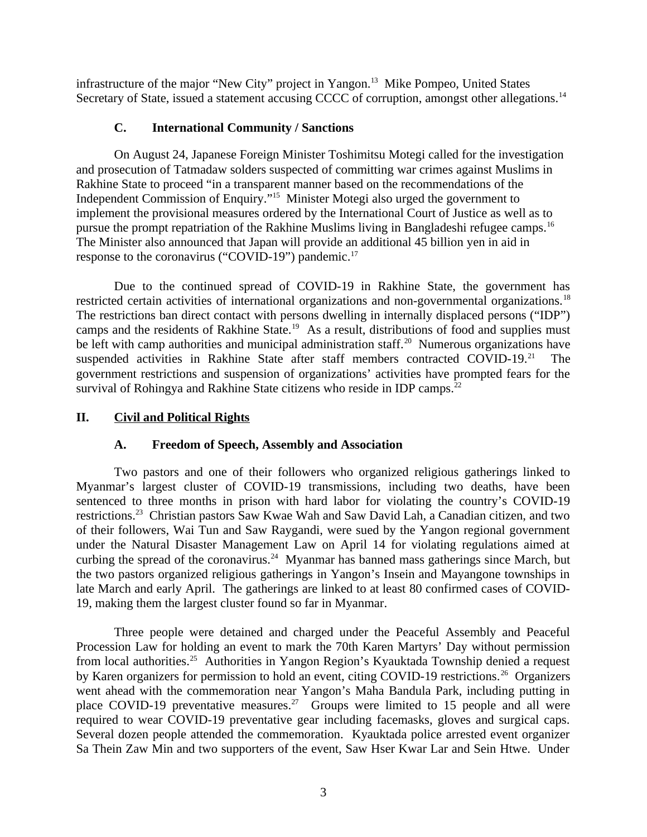infrastructure of the major "New City" project in Yangon.<sup>13</sup> Mike Pompeo, United States Secretary of State, issued a statement accusing CCCC of corruption, amongst other allegations.<sup>14</sup>

### <span id="page-2-2"></span>**C. International Community / Sanctions**

On August 24, Japanese Foreign Minister Toshimitsu Motegi called for the investigation and prosecution of Tatmadaw solders suspected of committing war crimes against Muslims in Rakhine State to proceed "in a transparent manner based on the recommendations of the Independent Commission of Enquiry."<sup>15</sup> Minister Motegi also urged the government to implement the provisional measures ordered by the International Court of Justice as well as to pursue the prompt repatriation of the Rakhine Muslims living in Bangladeshi refugee camps.<sup>16</sup> The Minister also announced that Japan will provide an additional 45 billion yen in aid in response to the coronavirus ("COVID-19") pandemic.<sup>17</sup>

Due to the continued spread of COVID-19 in Rakhine State, the government has restricted certain activities of international organizations and non-governmental organizations.<sup>18</sup> The restrictions ban direct contact with persons dwelling in internally displaced persons ("IDP") camps and the residents of Rakhine State.<sup>19</sup> As a result, distributions of food and supplies must be left with camp authorities and municipal administration staff.<sup>20</sup> Numerous organizations have suspended activities in Rakhine State after staff members contracted COVID-19.<sup>21</sup> The government restrictions and suspension of organizations' activities have prompted fears for the survival of Rohingya and Rakhine State citizens who reside in IDP camps.<sup>22</sup>

#### **II. Civil and Political Rights**

## <span id="page-2-1"></span><span id="page-2-0"></span>**A. Freedom of Speech, Assembly and Association**

Two pastors and one of their followers who organized religious gatherings linked to Myanmar's largest cluster of COVID-19 transmissions, including two deaths, have been sentenced to three months in prison with hard labor for violating the country's COVID-19 restrictions.<sup>23</sup> Christian pastors Saw Kwae Wah and Saw David Lah, a Canadian citizen, and two of their followers, Wai Tun and Saw Raygandi, were sued by the Yangon regional government under the Natural Disaster Management Law on April 14 for violating regulations aimed at curbing the spread of the coronavirus.<sup>24</sup> Myanmar has banned mass gatherings since March, but the two pastors organized religious gatherings in Yangon's Insein and Mayangone townships in late March and early April. The gatherings are linked to at least 80 confirmed cases of COVID-19, making them the largest cluster found so far in Myanmar.

Three people were detained and charged under the Peaceful Assembly and Peaceful Procession Law for holding an event to mark the 70th Karen Martyrs' Day without permission from local authorities.<sup>25</sup> Authorities in Yangon Region's Kyauktada Township denied a request by Karen organizers for permission to hold an event, citing COVID-19 restrictions.<sup>26</sup> Organizers went ahead with the commemoration near Yangon's Maha Bandula Park, including putting in place COVID-19 preventative measures.<sup>27</sup> Groups were limited to 15 people and all were required to wear COVID-19 preventative gear including facemasks, gloves and surgical caps. Several dozen people attended the commemoration. Kyauktada police arrested event organizer Sa Thein Zaw Min and two supporters of the event, Saw Hser Kwar Lar and Sein Htwe. Under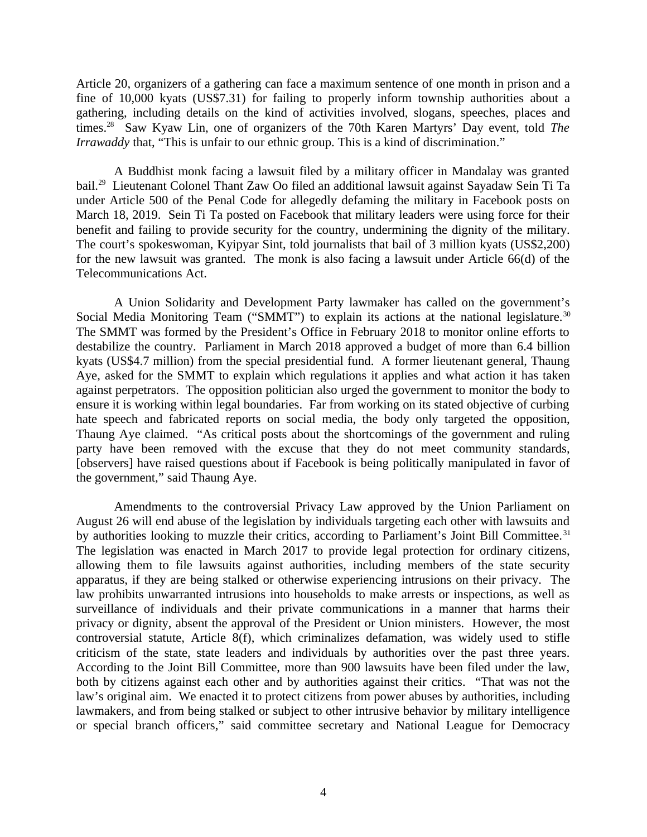Article 20, organizers of a gathering can face a maximum sentence of one month in prison and a fine of 10,000 kyats (US\$7.31) for failing to properly inform township authorities about a gathering, including details on the kind of activities involved, slogans, speeches, places and times.<sup>28</sup> Saw Kyaw Lin, one of organizers of the 70th Karen Martyrs' Day event, told *The Irrawaddy* that, "This is unfair to our ethnic group. This is a kind of discrimination."

A Buddhist monk facing a lawsuit filed by a military officer in Mandalay was granted bail.<sup>29</sup> Lieutenant Colonel Thant Zaw Oo filed an additional lawsuit against Sayadaw Sein Ti Ta under Article 500 of the Penal Code for allegedly defaming the military in Facebook posts on March 18, 2019. Sein Ti Ta posted on Facebook that military leaders were using force for their benefit and failing to provide security for the country, undermining the dignity of the military. The court's spokeswoman, Kyipyar Sint, told journalists that bail of 3 million kyats (US\$2,200) for the new lawsuit was granted. The monk is also facing a lawsuit under Article 66(d) of the Telecommunications Act.

A Union Solidarity and Development Party lawmaker has called on the government's Social Media Monitoring Team ("SMMT") to explain its actions at the national legislature.<sup>30</sup> The SMMT was formed by the President's Office in February 2018 to monitor online efforts to destabilize the country. Parliament in March 2018 approved a budget of more than 6.4 billion kyats (US\$4.7 million) from the special presidential fund. A former lieutenant general, Thaung Aye, asked for the SMMT to explain which regulations it applies and what action it has taken against perpetrators. The opposition politician also urged the government to monitor the body to ensure it is working within legal boundaries. Far from working on its stated objective of curbing hate speech and fabricated reports on social media, the body only targeted the opposition, Thaung Aye claimed. "As critical posts about the shortcomings of the government and ruling party have been removed with the excuse that they do not meet community standards, [observers] have raised questions about if Facebook is being politically manipulated in favor of the government," said Thaung Aye.

Amendments to the controversial Privacy Law approved by the Union Parliament on August 26 will end abuse of the legislation by individuals targeting each other with lawsuits and by authorities looking to muzzle their critics, according to Parliament's Joint Bill Committee.<sup>31</sup> The legislation was enacted in March 2017 to provide legal protection for ordinary citizens, allowing them to file lawsuits against authorities, including members of the state security apparatus, if they are being stalked or otherwise experiencing intrusions on their privacy. The law prohibits unwarranted intrusions into households to make arrests or inspections, as well as surveillance of individuals and their private communications in a manner that harms their privacy or dignity, absent the approval of the President or Union ministers. However, the most controversial statute, Article 8(f), which criminalizes defamation, was widely used to stifle criticism of the state, state leaders and individuals by authorities over the past three years. According to the Joint Bill Committee, more than 900 lawsuits have been filed under the law, both by citizens against each other and by authorities against their critics. "That was not the law's original aim. We enacted it to protect citizens from power abuses by authorities, including lawmakers, and from being stalked or subject to other intrusive behavior by military intelligence or special branch officers," said committee secretary and National League for Democracy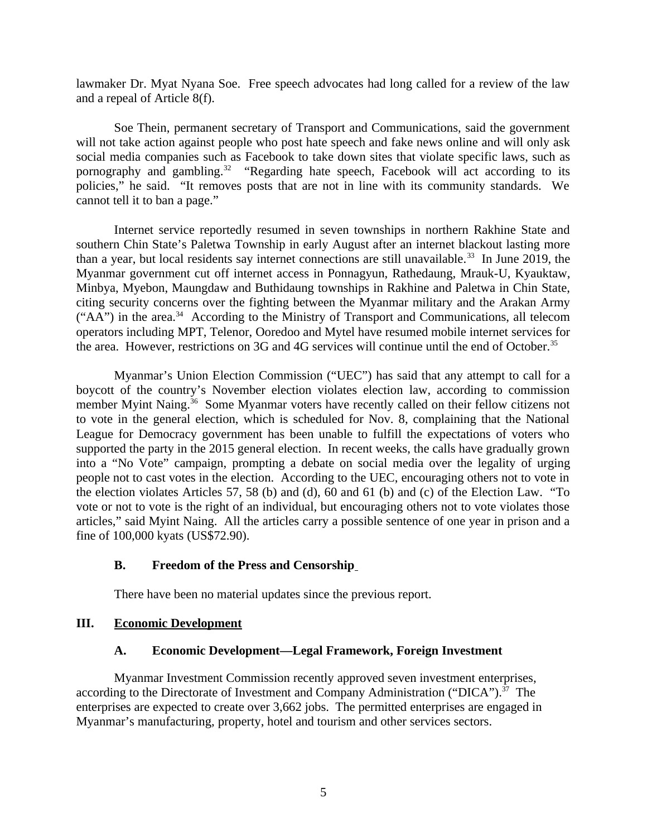lawmaker Dr. Myat Nyana Soe. Free speech advocates had long called for a review of the law and a repeal of Article 8(f).

Soe Thein, permanent secretary of Transport and Communications, said the government will not take action against people who post hate speech and fake news online and will only ask social media companies such as Facebook to take down sites that violate specific laws, such as pornography and gambling.<sup>32</sup> "Regarding hate speech, Facebook will act according to its policies," he said. "It removes posts that are not in line with its community standards. We cannot tell it to ban a page."

Internet service reportedly resumed in seven townships in northern Rakhine State and southern Chin State's Paletwa Township in early August after an internet blackout lasting more than a year, but local residents say internet connections are still unavailable.<sup>33</sup> In June 2019, the Myanmar government cut off internet access in Ponnagyun, Rathedaung, Mrauk-U, Kyauktaw, Minbya, Myebon, Maungdaw and Buthidaung townships in Rakhine and Paletwa in Chin State, citing security concerns over the fighting between the Myanmar military and the Arakan Army  $("AA")$  in the area.<sup>34</sup> According to the Ministry of Transport and Communications, all telecom operators including MPT, Telenor, Ooredoo and Mytel have resumed mobile internet services for the area. However, restrictions on 3G and 4G services will continue until the end of October.<sup>35</sup>

Myanmar's Union Election Commission ("UEC") has said that any attempt to call for a boycott of the country's November election violates election law, according to commission member Myint Naing.<sup>36</sup> Some Myanmar voters have recently called on their fellow citizens not to vote in the general election, which is scheduled for Nov. 8, complaining that the National League for Democracy government has been unable to fulfill the expectations of voters who supported the party in the 2015 general election. In recent weeks, the calls have gradually grown into a "No Vote" campaign, prompting a debate on social media over the legality of urging people not to cast votes in the election. According to the UEC, encouraging others not to vote in the election violates Articles 57, 58 (b) and (d), 60 and 61 (b) and (c) of the Election Law. "To vote or not to vote is the right of an individual, but encouraging others not to vote violates those articles," said Myint Naing. All the articles carry a possible sentence of one year in prison and a fine of 100,000 kyats (US\$72.90).

## <span id="page-4-2"></span>**B. Freedom of the Press and Censorship**

<span id="page-4-1"></span>There have been no material updates since the previous report.

#### **III. Economic Development**

#### <span id="page-4-0"></span>**A. Economic Development—Legal Framework, Foreign Investment**

Myanmar Investment Commission recently approved seven investment enterprises, according to the Directorate of Investment and Company Administration ("DICA"). $37$  The enterprises are expected to create over 3,662 jobs. The permitted enterprises are engaged in Myanmar's manufacturing, property, hotel and tourism and other services sectors.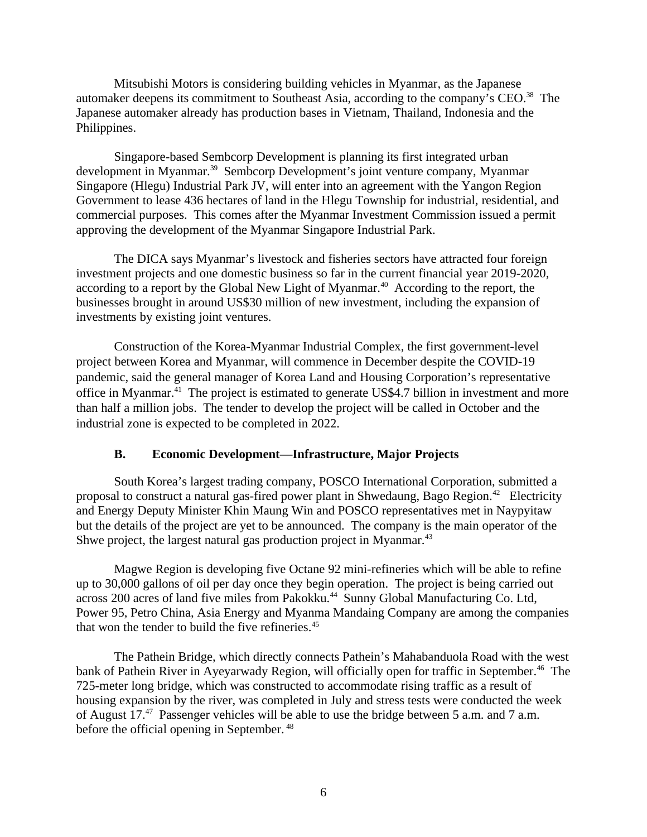Mitsubishi Motors is considering building vehicles in Myanmar, as the Japanese automaker deepens its commitment to Southeast Asia, according to the company's CEO.<sup>38</sup> The Japanese automaker already has production bases in Vietnam, Thailand, Indonesia and the Philippines.

Singapore-based Sembcorp Development is planning its first integrated urban development in Myanmar.<sup>39</sup> Sembcorp Development's joint venture company, Myanmar Singapore (Hlegu) Industrial Park JV, will enter into an agreement with the Yangon Region Government to lease 436 hectares of land in the Hlegu Township for industrial, residential, and commercial purposes. This comes after the Myanmar Investment Commission issued a permit approving the development of the Myanmar Singapore Industrial Park.

The DICA says Myanmar's livestock and fisheries sectors have attracted four foreign investment projects and one domestic business so far in the current financial year 2019-2020, according to a report by the Global New Light of Myanmar.<sup>40</sup> According to the report, the businesses brought in around US\$30 million of new investment, including the expansion of investments by existing joint ventures.

Construction of the Korea-Myanmar Industrial Complex, the first government-level project between Korea and Myanmar, will commence in December despite the COVID-19 pandemic, said the general manager of Korea Land and Housing Corporation's representative office in Myanmar.<sup>41</sup> The project is estimated to generate US\$4.7 billion in investment and more than half a million jobs. The tender to develop the project will be called in October and the industrial zone is expected to be completed in 2022.

## <span id="page-5-0"></span>**B. Economic Development—Infrastructure, Major Projects**

South Korea's largest trading company, POSCO International Corporation, submitted a proposal to construct a natural gas-fired power plant in Shwedaung, Bago Region.<sup>42</sup> Electricity and Energy Deputy Minister Khin Maung Win and POSCO representatives met in Naypyitaw but the details of the project are yet to be announced. The company is the main operator of the Shwe project, the largest natural gas production project in Myanmar.<sup>43</sup>

Magwe Region is developing five Octane 92 mini-refineries which will be able to refine up to 30,000 gallons of oil per day once they begin operation. The project is being carried out across 200 acres of land five miles from Pakokku.<sup>44</sup> Sunny Global Manufacturing Co. Ltd, Power 95, Petro China, Asia Energy and Myanma Mandaing Company are among the companies that won the tender to build the five refineries.<sup>45</sup>

The Pathein Bridge, which directly connects Pathein's Mahabanduola Road with the west bank of Pathein River in Ayeyarwady Region, will officially open for traffic in September.<sup>46</sup> The 725-meter long bridge, which was constructed to accommodate rising traffic as a result of housing expansion by the river, was completed in July and stress tests were conducted the week of August 17.<sup>47</sup> Passenger vehicles will be able to use the bridge between 5 a.m. and 7 a.m. before the official opening in September. <sup>48</sup>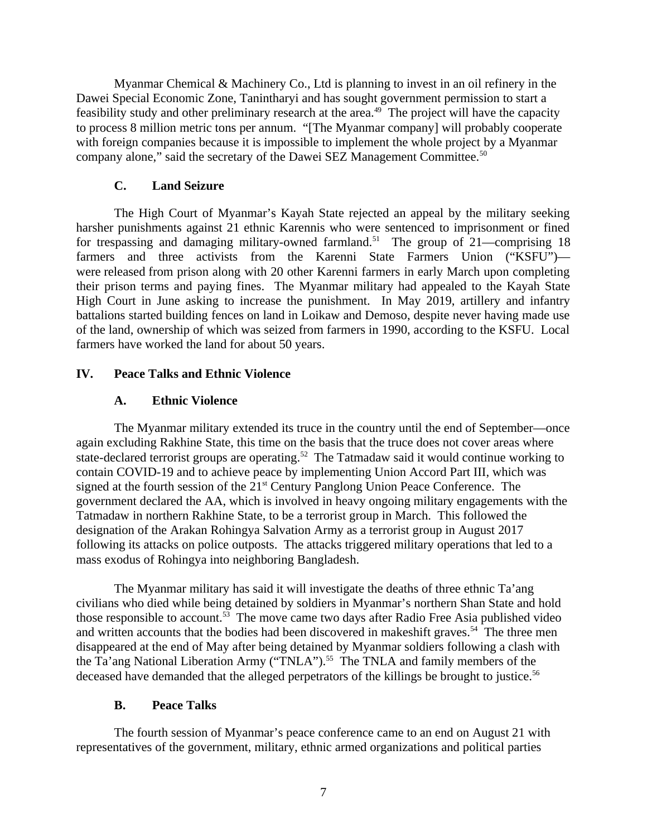Myanmar Chemical & Machinery Co., Ltd is planning to invest in an oil refinery in the Dawei Special Economic Zone, Tanintharyi and has sought government permission to start a feasibility study and other preliminary research at the area.<sup>49</sup> The project will have the capacity to process 8 million metric tons per annum. "[The Myanmar company] will probably cooperate with foreign companies because it is impossible to implement the whole project by a Myanmar company alone," said the secretary of the Dawei SEZ Management Committee.<sup>50</sup>

## <span id="page-6-3"></span>**C. Land Seizure**

The High Court of Myanmar's Kayah State rejected an appeal by the military seeking harsher punishments against 21 ethnic Karennis who were sentenced to imprisonment or fined for trespassing and damaging military-owned farmland.<sup>51</sup> The group of 21—comprising 18 farmers and three activists from the Karenni State Farmers Union ("KSFU")were released from prison along with 20 other Karenni farmers in early March upon completing their prison terms and paying fines. The Myanmar military had appealed to the Kayah State High Court in June asking to increase the punishment. In May 2019, artillery and infantry battalions started building fences on land in Loikaw and Demoso, despite never having made use of the land, ownership of which was seized from farmers in 1990, according to the KSFU. Local farmers have worked the land for about 50 years.

# **IV. Peace Talks and Ethnic Violence**

# <span id="page-6-2"></span><span id="page-6-1"></span>**A. Ethnic Violence**

The Myanmar military extended its truce in the country until the end of September—once again excluding Rakhine State, this time on the basis that the truce does not cover areas where state-declared terrorist groups are operating.<sup>52</sup> The Tatmadaw said it would continue working to contain COVID-19 and to achieve peace by implementing Union Accord Part III, which was signed at the fourth session of the 21<sup>st</sup> Century Panglong Union Peace Conference. The government declared the AA, which is involved in heavy ongoing military engagements with the Tatmadaw in northern Rakhine State, to be a terrorist group in March. This followed the designation of the Arakan Rohingya Salvation Army as a terrorist group in August 2017 following its attacks on police outposts. The attacks triggered military operations that led to a mass exodus of Rohingya into neighboring Bangladesh.

The Myanmar military has said it will investigate the deaths of three ethnic Ta'ang civilians who died while being detained by soldiers in Myanmar's northern Shan State and hold those responsible to account.<sup>53</sup> The move came two days after Radio Free Asia published video and written accounts that the bodies had been discovered in makeshift graves.<sup>54</sup> The three men disappeared at the end of May after being detained by Myanmar soldiers following a clash with the Ta'ang National Liberation Army ("TNLA").<sup>55</sup> The TNLA and family members of the deceased have demanded that the alleged perpetrators of the killings be brought to justice.<sup>56</sup>

## <span id="page-6-0"></span>**B. Peace Talks**

The fourth session of Myanmar's peace conference came to an end on August 21 with representatives of the government, military, ethnic armed organizations and political parties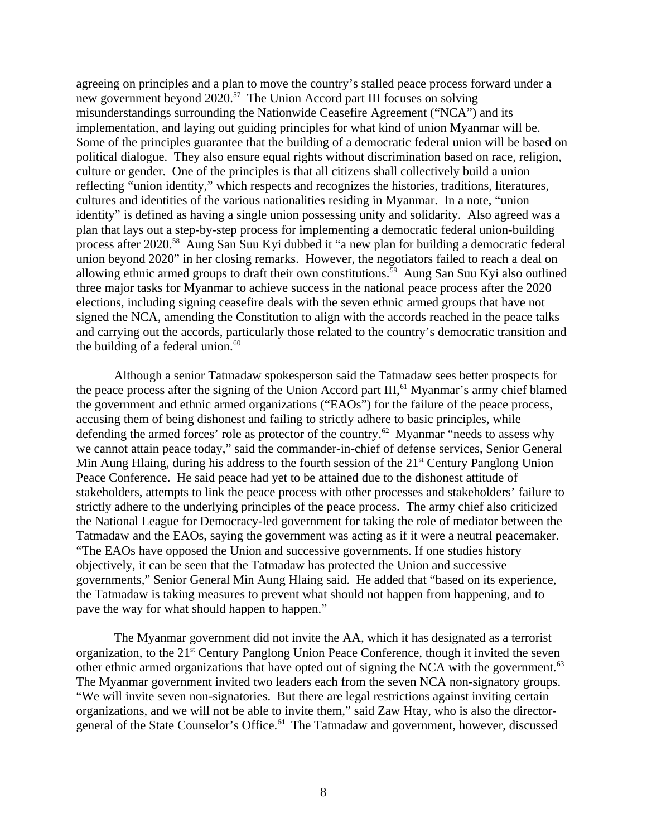agreeing on principles and a plan to move the country's stalled peace process forward under a new government beyond 2020.<sup>57</sup> The Union Accord part III focuses on solving misunderstandings surrounding the Nationwide Ceasefire Agreement ("NCA") and its implementation, and laying out guiding principles for what kind of union Myanmar will be. Some of the principles guarantee that the building of a democratic federal union will be based on political dialogue. They also ensure equal rights without discrimination based on race, religion, culture or gender. One of the principles is that all citizens shall collectively build a union reflecting "union identity," which respects and recognizes the histories, traditions, literatures, cultures and identities of the various nationalities residing in Myanmar. In a note, "union identity" is defined as having a single union possessing unity and solidarity. Also agreed was a plan that lays out a step-by-step process for implementing a democratic federal union-building process after 2020.<sup>58</sup> Aung San Suu Kyi dubbed it "a new plan for building a democratic federal union beyond 2020" in her closing remarks. However, the negotiators failed to reach a deal on allowing ethnic armed groups to draft their own constitutions.<sup>59</sup> Aung San Suu Kyi also outlined three major tasks for Myanmar to achieve success in the national peace process after the 2020 elections, including signing ceasefire deals with the seven ethnic armed groups that have not signed the NCA, amending the Constitution to align with the accords reached in the peace talks and carrying out the accords, particularly those related to the country's democratic transition and the building of a federal union. $60$ 

Although a senior Tatmadaw spokesperson said the Tatmadaw sees better prospects for the peace process after the signing of the Union Accord part  $III$ ,  $61$  Myanmar's army chief blamed the government and ethnic armed organizations ("EAOs") for the failure of the peace process, accusing them of being dishonest and failing to strictly adhere to basic principles, while defending the armed forces' role as protector of the country.<sup>62</sup> Myanmar "needs to assess why we cannot attain peace today," said the commander-in-chief of defense services, Senior General Min Aung Hlaing, during his address to the fourth session of the 21<sup>st</sup> Century Panglong Union Peace Conference. He said peace had yet to be attained due to the dishonest attitude of stakeholders, attempts to link the peace process with other processes and stakeholders' failure to strictly adhere to the underlying principles of the peace process. The army chief also criticized the National League for Democracy-led government for taking the role of mediator between the Tatmadaw and the EAOs, saying the government was acting as if it were a neutral peacemaker. "The EAOs have opposed the Union and successive governments. If one studies history objectively, it can be seen that the Tatmadaw has protected the Union and successive governments," Senior General Min Aung Hlaing said. He added that "based on its experience, the Tatmadaw is taking measures to prevent what should not happen from happening, and to pave the way for what should happen to happen."

The Myanmar government did not invite the AA, which it has designated as a terrorist organization, to the  $21<sup>st</sup>$  Century Panglong Union Peace Conference, though it invited the seven other ethnic armed organizations that have opted out of signing the NCA with the government.<sup>63</sup> The Myanmar government invited two leaders each from the seven NCA non-signatory groups. "We will invite seven non-signatories. But there are legal restrictions against inviting certain organizations, and we will not be able to invite them," said Zaw Htay, who is also the directorgeneral of the State Counselor's Office.<sup>64</sup> The Tatmadaw and government, however, discussed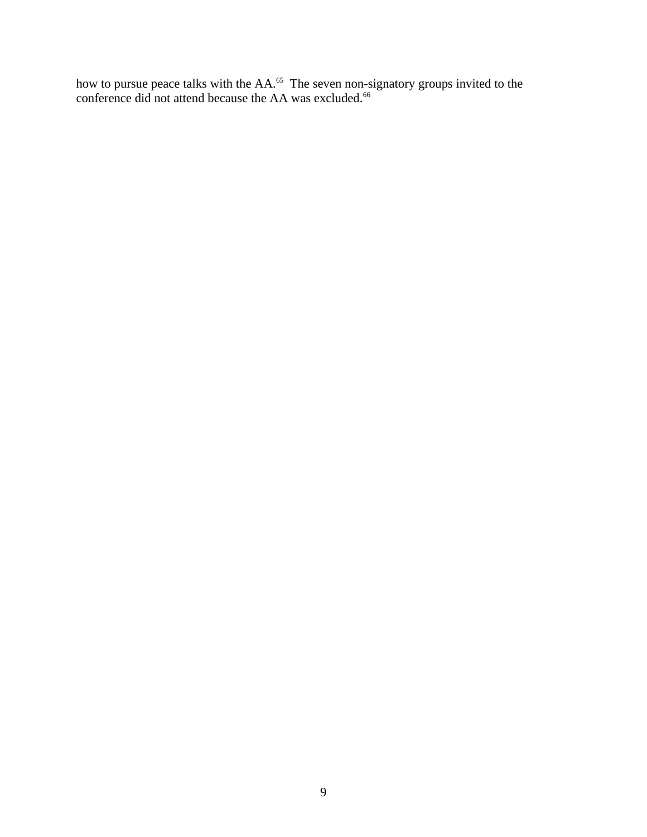how to pursue peace talks with the  $AA$ .<sup>65</sup> The seven non-signatory groups invited to the conference did not attend because the AA was excluded. $66$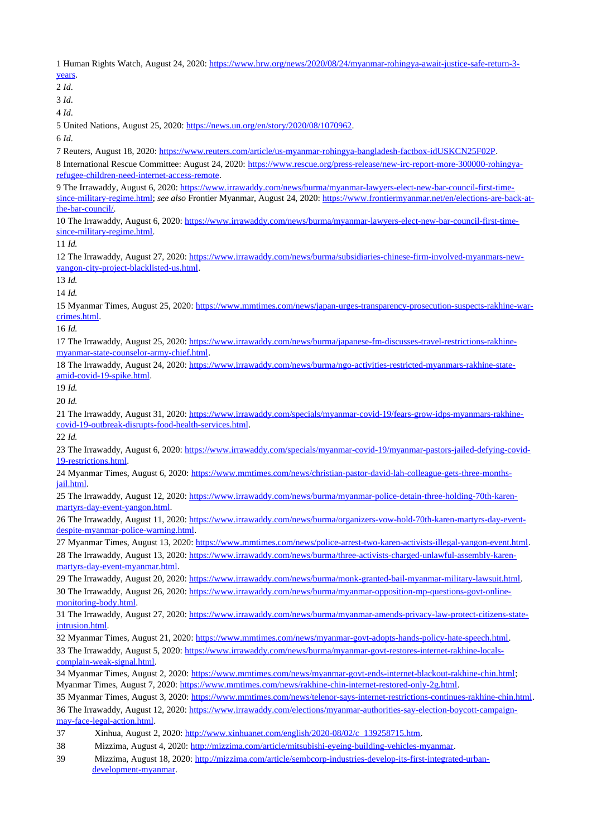Human Rights Watch, August 24, 2020: [https://www.hrw.org/news/2020/08/24/myanmar-rohingya-await-justice-safe-return-3](https://www.hrw.org/news/2020/08/24/myanmar-rohingya-await-justice-safe-return-3-years) [years.](https://www.hrw.org/news/2020/08/24/myanmar-rohingya-await-justice-safe-return-3-years)

*Id*.

*Id*.

*Id*.

United Nations, August 25, 2020: [https://news.un.org/en/story/2020/08/1070962.](https://news.un.org/en/story/2020/08/1070962)

*Id*.

Reuters, August 18, 2020: [https://www.reuters.com/article/us-myanmar-rohingya-bangladesh-factbox-idUSKCN25F02P.](https://www.reuters.com/article/us-myanmar-rohingya-bangladesh-factbox-idUSKCN25F02P)

8 International Rescue Committee: August 24, 2020: [https://www.rescue.org/press-release/new-irc-report-more-300000-rohingya](https://www.rescue.org/press-release/new-irc-report-more-300000-rohingya-refugee-children-need-internet-access-remote)[refugee-children-need-internet-access-remote.](https://www.rescue.org/press-release/new-irc-report-more-300000-rohingya-refugee-children-need-internet-access-remote)

 The Irrawaddy, August 6, 2020: [https://www.irrawaddy.com/news/burma/myanmar-lawyers-elect-new-bar-council-first-time](https://www.irrawaddy.com/news/burma/myanmar-lawyers-elect-new-bar-council-first-time-since-military-regime.html)[since-military-regime.html;](https://www.irrawaddy.com/news/burma/myanmar-lawyers-elect-new-bar-council-first-time-since-military-regime.html) *see also* Frontier Myanmar, August 24, 2020: [https://www.frontiermyanmar.net/en/elections-are-back-at](https://www.frontiermyanmar.net/en/elections-are-back-at-the-bar-council/)[the-bar-council/.](https://www.frontiermyanmar.net/en/elections-are-back-at-the-bar-council/)

 The Irrawaddy, August 6, 2020: [https://www.irrawaddy.com/news/burma/myanmar-lawyers-elect-new-bar-council-first-time](https://www.irrawaddy.com/news/burma/myanmar-lawyers-elect-new-bar-council-first-time-since-military-regime.html)[since-military-regime.html.](https://www.irrawaddy.com/news/burma/myanmar-lawyers-elect-new-bar-council-first-time-since-military-regime.html)

*Id.*

 The Irrawaddy, August 27, 2020: [https://www.irrawaddy.com/news/burma/subsidiaries-chinese-firm-involved-myanmars-new](https://www.irrawaddy.com/news/burma/subsidiaries-chinese-firm-involved-myanmars-new-yangon-city-project-blacklisted-us.html)[yangon-city-project-blacklisted-us.html.](https://www.irrawaddy.com/news/burma/subsidiaries-chinese-firm-involved-myanmars-new-yangon-city-project-blacklisted-us.html)

*Id.*

*Id.*

 Myanmar Times, August 25, 2020: [https://www.mmtimes.com/news/japan-urges-transparency-prosecution-suspects-rakhine-war](https://www.mmtimes.com/news/japan-urges-transparency-prosecution-suspects-rakhine-war-crimes.html)[crimes.html.](https://www.mmtimes.com/news/japan-urges-transparency-prosecution-suspects-rakhine-war-crimes.html)

*Id.*

 The Irrawaddy, August 25, 2020: [https://www.irrawaddy.com/news/burma/japanese-fm-discusses-travel-restrictions-rakhine](https://www.irrawaddy.com/news/burma/japanese-fm-discusses-travel-restrictions-rakhine-myanmar-state-counselor-army-chief.html)[myanmar-state-counselor-army-chief.html.](https://www.irrawaddy.com/news/burma/japanese-fm-discusses-travel-restrictions-rakhine-myanmar-state-counselor-army-chief.html)

 The Irrawaddy, August 24, 2020: [https://www.irrawaddy.com/news/burma/ngo-activities-restricted-myanmars-rakhine-state](https://www.irrawaddy.com/news/burma/ngo-activities-restricted-myanmars-rakhine-state-amid-covid-19-spike.html)[amid-covid-19-spike.html.](https://www.irrawaddy.com/news/burma/ngo-activities-restricted-myanmars-rakhine-state-amid-covid-19-spike.html)

*Id.*

*Id.*

 The Irrawaddy, August 31, 2020: [https://www.irrawaddy.com/specials/myanmar-covid-19/fears-grow-idps-myanmars-rakhine](https://www.irrawaddy.com/specials/myanmar-covid-19/fears-grow-idps-myanmars-rakhine-covid-19-outbreak-disrupts-food-health-services.html)[covid-19-outbreak-disrupts-food-health-services.html.](https://www.irrawaddy.com/specials/myanmar-covid-19/fears-grow-idps-myanmars-rakhine-covid-19-outbreak-disrupts-food-health-services.html)

*Id.*

 The Irrawaddy, August 6, 2020: [https://www.irrawaddy.com/specials/myanmar-covid-19/myanmar-pastors-jailed-defying-covid-](https://www.irrawaddy.com/specials/myanmar-covid-19/myanmar-pastors-jailed-defying-covid-19-restrictions.html)[19-restrictions.html.](https://www.irrawaddy.com/specials/myanmar-covid-19/myanmar-pastors-jailed-defying-covid-19-restrictions.html)

 Myanmar Times, August 6, 2020: [https://www.mmtimes.com/news/christian-pastor-david-lah-colleague-gets-three-months](https://www.mmtimes.com/news/christian-pastor-david-lah-colleague-gets-three-months-jail.html)[jail.html.](https://www.mmtimes.com/news/christian-pastor-david-lah-colleague-gets-three-months-jail.html)

 The Irrawaddy, August 12, 2020: [https://www.irrawaddy.com/news/burma/myanmar-police-detain-three-holding-70th-karen](https://www.irrawaddy.com/news/burma/myanmar-police-detain-three-holding-70th-karen-martyrs-day-event-yangon.html)[martyrs-day-event-yangon.html.](https://www.irrawaddy.com/news/burma/myanmar-police-detain-three-holding-70th-karen-martyrs-day-event-yangon.html)

 The Irrawaddy, August 11, 2020: [https://www.irrawaddy.com/news/burma/organizers-vow-hold-70th-karen-martyrs-day-event](https://www.irrawaddy.com/news/burma/organizers-vow-hold-70th-karen-martyrs-day-event-despite-myanmar-police-warning.html)[despite-myanmar-police-warning.html.](https://www.irrawaddy.com/news/burma/organizers-vow-hold-70th-karen-martyrs-day-event-despite-myanmar-police-warning.html)

 Myanmar Times, August 13, 2020: [https://www.mmtimes.com/news/police-arrest-two-karen-activists-illegal-yangon-event.html.](https://www.mmtimes.com/news/police-arrest-two-karen-activists-illegal-yangon-event.html) The Irrawaddy, August 13, 2020: [https://www.irrawaddy.com/news/burma/three-activists-charged-unlawful-assembly-karen](https://www.irrawaddy.com/news/burma/three-activists-charged-unlawful-assembly-karen-martyrs-day-event-myanmar.html)[martyrs-day-event-myanmar.html.](https://www.irrawaddy.com/news/burma/three-activists-charged-unlawful-assembly-karen-martyrs-day-event-myanmar.html)

The Irrawaddy, August 20, 2020: [https://www.irrawaddy.com/news/burma/monk-granted-bail-myanmar-military-lawsuit.html.](https://www.irrawaddy.com/news/burma/monk-granted-bail-myanmar-military-lawsuit.html)

 The Irrawaddy, August 26, 2020: [https://www.irrawaddy.com/news/burma/myanmar-opposition-mp-questions-govt-online](https://www.irrawaddy.com/news/burma/myanmar-opposition-mp-questions-govt-online-monitoring-body.html)[monitoring-body.html.](https://www.irrawaddy.com/news/burma/myanmar-opposition-mp-questions-govt-online-monitoring-body.html)

 The Irrawaddy, August 27, 2020: [https://www.irrawaddy.com/news/burma/myanmar-amends-privacy-law-protect-citizens-state](https://www.irrawaddy.com/news/burma/myanmar-amends-privacy-law-protect-citizens-state-intrusion.html)[intrusion.html.](https://www.irrawaddy.com/news/burma/myanmar-amends-privacy-law-protect-citizens-state-intrusion.html)

32 Myanmar Times, August 21, 2020: [https://www.mmtimes.com/news/myanmar-govt-adopts-hands-policy-hate-speech.html.](https://www.mmtimes.com/news/myanmar-govt-adopts-hands-policy-hate-speech.html) The Irrawaddy, August 5, 2020: [https://www.irrawaddy.com/news/burma/myanmar-govt-restores-internet-rakhine-locals](https://www.irrawaddy.com/news/burma/myanmar-govt-restores-internet-rakhine-locals-complain-weak-signal.html)[complain-weak-signal.html.](https://www.irrawaddy.com/news/burma/myanmar-govt-restores-internet-rakhine-locals-complain-weak-signal.html)

 Myanmar Times, August 2, 2020: [https://www.mmtimes.com/news/myanmar-govt-ends-internet-blackout-rakhine-chin.html;](https://www.mmtimes.com/news/myanmar-govt-ends-internet-blackout-rakhine-chin.html) Myanmar Times, August 7, 2020: [https://www.mmtimes.com/news/rakhine-chin-internet-restored-only-2g.html.](https://www.mmtimes.com/news/rakhine-chin-internet-restored-only-2g.html)

 Myanmar Times, August 3, 2020: [https://www.mmtimes.com/news/telenor-says-internet-restrictions-continues-rakhine-chin.html.](https://www.mmtimes.com/news/telenor-says-internet-restrictions-continues-rakhine-chin.html) The Irrawaddy, August 12, 2020: [https://www.irrawaddy.com/elections/myanmar-authorities-say-election-boycott-campaign](https://www.irrawaddy.com/elections/myanmar-authorities-say-election-boycott-campaign-may-face-legal-action.html)[may-face-legal-action.html.](https://www.irrawaddy.com/elections/myanmar-authorities-say-election-boycott-campaign-may-face-legal-action.html)

Xinhua, August 2, 2020: [http://www.xinhuanet.com/english/2020-08/02/c\\_139258715.htm.](http://www.xinhuanet.com/english/2020-08/02/c_139258715.htm)

Mizzima, August 4, 2020: [http://mizzima.com/article/mitsubishi-eyeing-building-vehicles-myanmar.](http://mizzima.com/article/mitsubishi-eyeing-building-vehicles-myanmar)

 Mizzima, August 18, 2020: [http://mizzima.com/article/sembcorp-industries-develop-its-first-integrated-urban](http://mizzima.com/article/sembcorp-industries-develop-its-first-integrated-urban-development-myanmar)[development-myanmar.](http://mizzima.com/article/sembcorp-industries-develop-its-first-integrated-urban-development-myanmar)